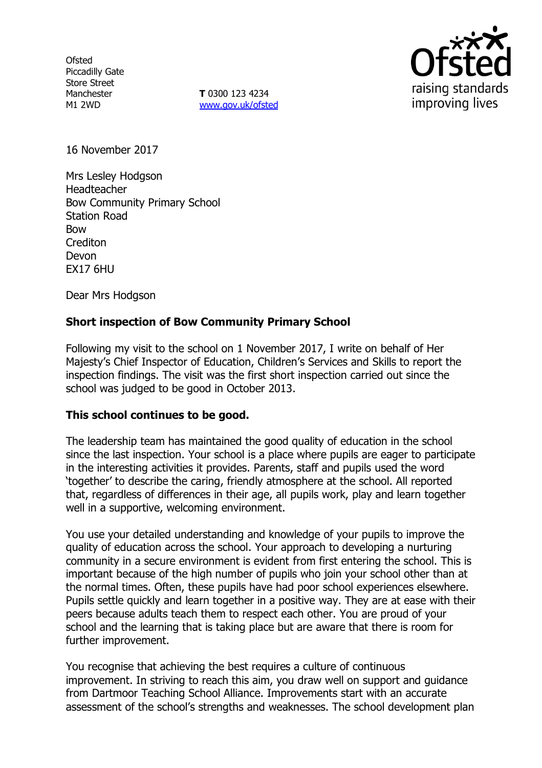**Ofsted** Piccadilly Gate Store Street Manchester M1 2WD

**T** 0300 123 4234 [www.gov.uk/ofsted](http://www.gov.uk/ofsted)



16 November 2017

Mrs Lesley Hodgson Headteacher Bow Community Primary School Station Road Bow **Crediton** Devon EX17 6HU

Dear Mrs Hodgson

# **Short inspection of Bow Community Primary School**

Following my visit to the school on 1 November 2017, I write on behalf of Her Majesty's Chief Inspector of Education, Children's Services and Skills to report the inspection findings. The visit was the first short inspection carried out since the school was judged to be good in October 2013.

#### **This school continues to be good.**

The leadership team has maintained the good quality of education in the school since the last inspection. Your school is a place where pupils are eager to participate in the interesting activities it provides. Parents, staff and pupils used the word 'together' to describe the caring, friendly atmosphere at the school. All reported that, regardless of differences in their age, all pupils work, play and learn together well in a supportive, welcoming environment.

You use your detailed understanding and knowledge of your pupils to improve the quality of education across the school. Your approach to developing a nurturing community in a secure environment is evident from first entering the school. This is important because of the high number of pupils who join your school other than at the normal times. Often, these pupils have had poor school experiences elsewhere. Pupils settle quickly and learn together in a positive way. They are at ease with their peers because adults teach them to respect each other. You are proud of your school and the learning that is taking place but are aware that there is room for further improvement.

You recognise that achieving the best requires a culture of continuous improvement. In striving to reach this aim, you draw well on support and guidance from Dartmoor Teaching School Alliance. Improvements start with an accurate assessment of the school's strengths and weaknesses. The school development plan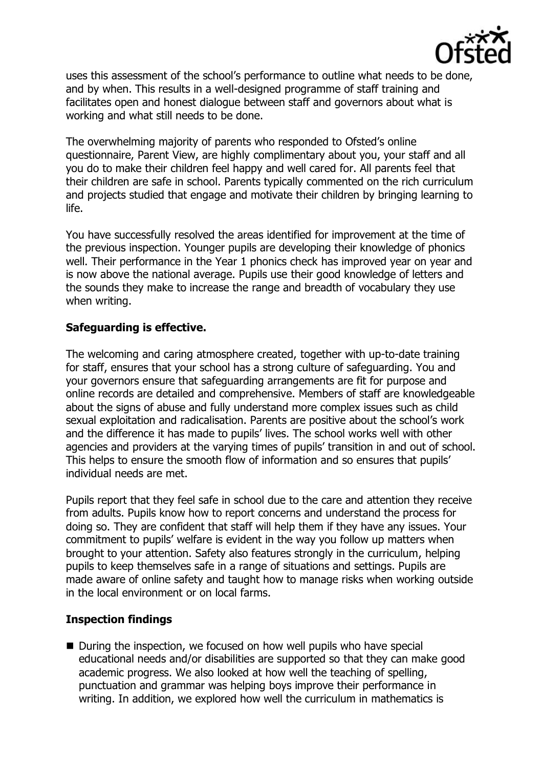

uses this assessment of the school's performance to outline what needs to be done, and by when. This results in a well-designed programme of staff training and facilitates open and honest dialogue between staff and governors about what is working and what still needs to be done.

The overwhelming majority of parents who responded to Ofsted's online questionnaire, Parent View, are highly complimentary about you, your staff and all you do to make their children feel happy and well cared for. All parents feel that their children are safe in school. Parents typically commented on the rich curriculum and projects studied that engage and motivate their children by bringing learning to life.

You have successfully resolved the areas identified for improvement at the time of the previous inspection. Younger pupils are developing their knowledge of phonics well. Their performance in the Year 1 phonics check has improved year on year and is now above the national average. Pupils use their good knowledge of letters and the sounds they make to increase the range and breadth of vocabulary they use when writing.

# **Safeguarding is effective.**

The welcoming and caring atmosphere created, together with up-to-date training for staff, ensures that your school has a strong culture of safeguarding. You and your governors ensure that safeguarding arrangements are fit for purpose and online records are detailed and comprehensive. Members of staff are knowledgeable about the signs of abuse and fully understand more complex issues such as child sexual exploitation and radicalisation. Parents are positive about the school's work and the difference it has made to pupils' lives. The school works well with other agencies and providers at the varying times of pupils' transition in and out of school. This helps to ensure the smooth flow of information and so ensures that pupils' individual needs are met.

Pupils report that they feel safe in school due to the care and attention they receive from adults. Pupils know how to report concerns and understand the process for doing so. They are confident that staff will help them if they have any issues. Your commitment to pupils' welfare is evident in the way you follow up matters when brought to your attention. Safety also features strongly in the curriculum, helping pupils to keep themselves safe in a range of situations and settings. Pupils are made aware of online safety and taught how to manage risks when working outside in the local environment or on local farms.

#### **Inspection findings**

■ During the inspection, we focused on how well pupils who have special educational needs and/or disabilities are supported so that they can make good academic progress. We also looked at how well the teaching of spelling, punctuation and grammar was helping boys improve their performance in writing. In addition, we explored how well the curriculum in mathematics is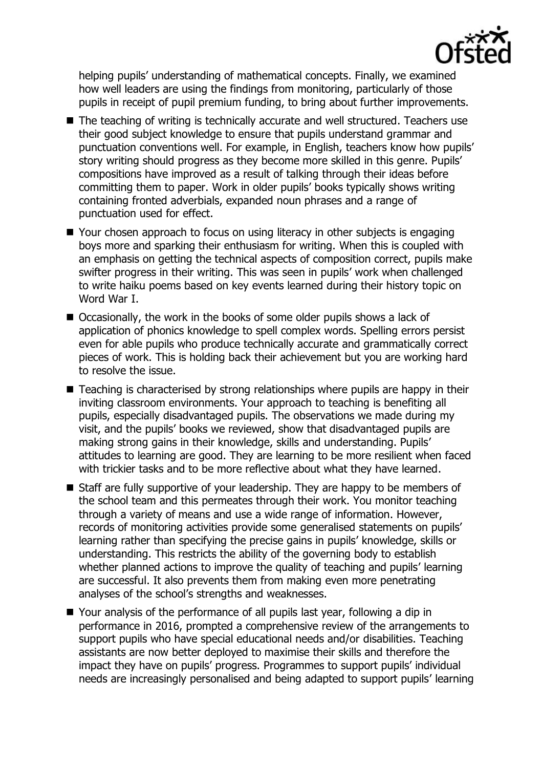

helping pupils' understanding of mathematical concepts. Finally, we examined how well leaders are using the findings from monitoring, particularly of those pupils in receipt of pupil premium funding, to bring about further improvements.

- The teaching of writing is technically accurate and well structured. Teachers use their good subject knowledge to ensure that pupils understand grammar and punctuation conventions well. For example, in English, teachers know how pupils' story writing should progress as they become more skilled in this genre. Pupils' compositions have improved as a result of talking through their ideas before committing them to paper. Work in older pupils' books typically shows writing containing fronted adverbials, expanded noun phrases and a range of punctuation used for effect.
- Your chosen approach to focus on using literacy in other subjects is engaging boys more and sparking their enthusiasm for writing. When this is coupled with an emphasis on getting the technical aspects of composition correct, pupils make swifter progress in their writing. This was seen in pupils' work when challenged to write haiku poems based on key events learned during their history topic on Word War I.
- $\blacksquare$  Occasionally, the work in the books of some older pupils shows a lack of application of phonics knowledge to spell complex words. Spelling errors persist even for able pupils who produce technically accurate and grammatically correct pieces of work. This is holding back their achievement but you are working hard to resolve the issue.
- Teaching is characterised by strong relationships where pupils are happy in their inviting classroom environments. Your approach to teaching is benefiting all pupils, especially disadvantaged pupils. The observations we made during my visit, and the pupils' books we reviewed, show that disadvantaged pupils are making strong gains in their knowledge, skills and understanding. Pupils' attitudes to learning are good. They are learning to be more resilient when faced with trickier tasks and to be more reflective about what they have learned.
- Staff are fully supportive of your leadership. They are happy to be members of the school team and this permeates through their work. You monitor teaching through a variety of means and use a wide range of information. However, records of monitoring activities provide some generalised statements on pupils' learning rather than specifying the precise gains in pupils' knowledge, skills or understanding. This restricts the ability of the governing body to establish whether planned actions to improve the quality of teaching and pupils' learning are successful. It also prevents them from making even more penetrating analyses of the school's strengths and weaknesses.
- Your analysis of the performance of all pupils last year, following a dip in performance in 2016, prompted a comprehensive review of the arrangements to support pupils who have special educational needs and/or disabilities. Teaching assistants are now better deployed to maximise their skills and therefore the impact they have on pupils' progress. Programmes to support pupils' individual needs are increasingly personalised and being adapted to support pupils' learning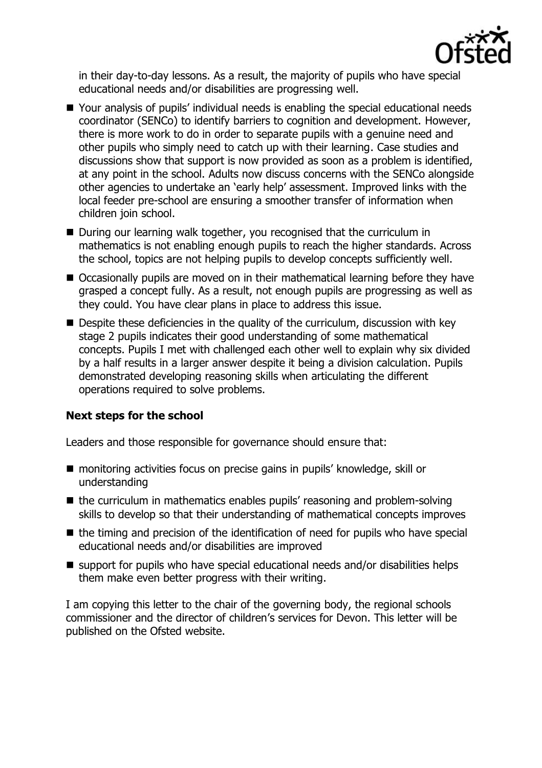

in their day-to-day lessons. As a result, the majority of pupils who have special educational needs and/or disabilities are progressing well.

- Your analysis of pupils' individual needs is enabling the special educational needs coordinator (SENCo) to identify barriers to cognition and development. However, there is more work to do in order to separate pupils with a genuine need and other pupils who simply need to catch up with their learning. Case studies and discussions show that support is now provided as soon as a problem is identified, at any point in the school. Adults now discuss concerns with the SENCo alongside other agencies to undertake an 'early help' assessment. Improved links with the local feeder pre-school are ensuring a smoother transfer of information when children join school.
- During our learning walk together, you recognised that the curriculum in mathematics is not enabling enough pupils to reach the higher standards. Across the school, topics are not helping pupils to develop concepts sufficiently well.
- Occasionally pupils are moved on in their mathematical learning before they have grasped a concept fully. As a result, not enough pupils are progressing as well as they could. You have clear plans in place to address this issue.
- $\blacksquare$  Despite these deficiencies in the quality of the curriculum, discussion with key stage 2 pupils indicates their good understanding of some mathematical concepts. Pupils I met with challenged each other well to explain why six divided by a half results in a larger answer despite it being a division calculation. Pupils demonstrated developing reasoning skills when articulating the different operations required to solve problems.

# **Next steps for the school**

Leaders and those responsible for governance should ensure that:

- monitoring activities focus on precise gains in pupils' knowledge, skill or understanding
- the curriculum in mathematics enables pupils' reasoning and problem-solving skills to develop so that their understanding of mathematical concepts improves
- $\blacksquare$  the timing and precision of the identification of need for pupils who have special educational needs and/or disabilities are improved
- support for pupils who have special educational needs and/or disabilities helps them make even better progress with their writing.

I am copying this letter to the chair of the governing body, the regional schools commissioner and the director of children's services for Devon. This letter will be published on the Ofsted website.